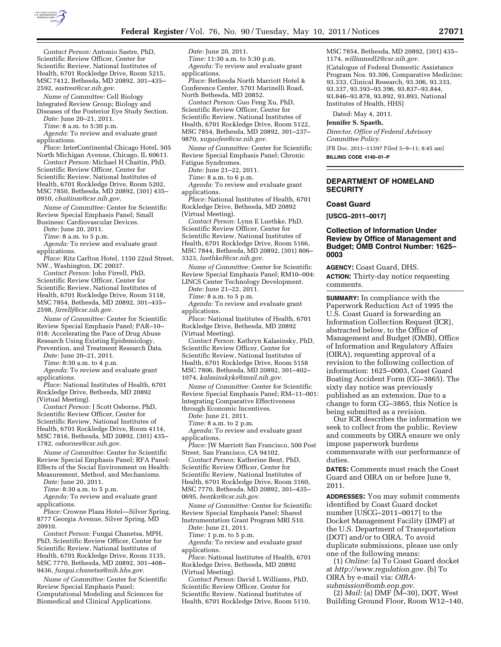

*Contact Person:* Antonio Sastre, PhD, Scientific Review Officer, Center for Scientific Review, National Institutes of Health, 6701 Rockledge Drive, Room 5215, MSC 7412, Bethesda, MD 20892, 301–435– 2592, *[sastrea@csr.nih.gov.](mailto:sastrea@csr.nih.gov)* 

*Name of Committee:* Cell Biology Integrated Review Group; Biology and Diseases of the Posterior Eye Study Section.

*Date:* June 20–21, 2011.

*Time:* 8 a.m. to 5:30 p.m.

*Agenda:* To review and evaluate grant applications.

*Place:* InterContinental Chicago Hotel, 505 North Michigan Avenue, Chicago, IL 60611.

*Contact Person:* Michael H Chaitin, PhD, Scientific Review Officer, Center for Scientific Review, National Institutes of Health, 6701 Rockledge Drive, Room 5202, MSC 7850, Bethesda, MD 20892, (301) 435– 0910, *[chaitinm@csr.nih.gov.](mailto:chaitinm@csr.nih.gov)* 

*Name of Committee:* Center for Scientific Review Special Emphasis Panel; Small Business: Cardiovascular Devices.

*Date:* June 20, 2011.

*Time:* 8 a.m. to 5 p.m.

*Agenda:* To review and evaluate grant applications.

*Place:* Ritz Carlton Hotel, 1150 22nd Street, NW., Washington, DC 20037.

*Contact Person:* John Firrell, PhD, Scientific Review Officer, Center for Scientific Review, National Institutes of Health, 6701 Rockledge Drive, Room 5118, MSC 7854, Bethesda, MD 20892, 301–435– 2598, *[firrellj@csr.nih.gov.](mailto:firrellj@csr.nih.gov)* 

*Name of Committee:* Center for Scientific Review Special Emphasis Panel; PAR–10– 018: Accelerating the Pace of Drug Abuse Research Using Existing Epidemiology, Prevention, and Treatment Research Data.

*Date:* June 20–21, 2011.

*Time:* 8:30 a.m. to 4 p.m.

*Agenda:* To review and evaluate grant applications.

*Place:* National Institutes of Health, 6701 Rockledge Drive, Bethesda, MD 20892 (Virtual Meeting).

*Contact Person:* J Scott Osborne, PhD, Scientific Review Officer, Center for Scientific Review, National Institutes of Health, 6701 Rockledge Drive, Room 4114, MSC 7816, Bethesda, MD 20892, (301) 435– 1782, *[osbornes@csr.nih.gov.](mailto:osbornes@csr.nih.gov)* 

*Name of Committee:* Center for Scientific Review Special Emphasis Panel; RFA Panel: Effects of the Social Environment on Health: Measurement, Method, and Mechanisms.

*Date:* June 20, 2011.

*Time:* 8:30 a.m. to 5 p.m.

*Agenda:* To review and evaluate grant applications.

*Place:* Crowne Plaza Hotel—Silver Spring, 8777 Georgia Avenue, Silver Spring, MD 20910.

*Contact Person:* Fungai Chanetsa, MPH, PhD, Scientific Review Officer, Center for Scientific Review, National Institutes of Health, 6701 Rockledge Drive, Room 3135, MSC 7770, Bethesda, MD 20892, 301–408– 9436, *[fungai.chanetsa@nih.hhs.gov.](mailto:fungai.chanetsa@nih.hhs.gov)* 

*Name of Committee:* Center for Scientific Review Special Emphasis Panel; Computational Modeling and Sciences for Biomedical and Clinical Applications.

*Date:* June 20, 2011. *Time:* 11:30 a.m. to 5:30 p.m. *Agenda:* To review and evaluate grant applications.

*Place:* Bethesda North Marriott Hotel & Conference Center, 5701 Marinelli Road, North Bethesda, MD 20852.

*Contact Person:* Guo Feng Xu, PhD, Scientific Review Officer, Center for Scientific Review, National Institutes of Health, 6701 Rockledge Drive, Room 5122, MSC 7854, Bethesda, MD 20892, 301–237– 9870, *[xuguofen@csr.nih.gov.](mailto:xuguofen@csr.nih.gov)* 

*Name of Committee:* Center for Scientific Review Special Emphasis Panel; Chronic Fatigue Syndromes.

*Date:* June 21–22, 2011.

*Time:* 8 a.m. to 6 p.m.

*Agenda:* To review and evaluate grant applications.

*Place:* National Institutes of Health, 6701 Rockledge Drive, Bethesda, MD 20892 (Virtual Meeting).

*Contact Person:* Lynn E Luethke, PhD, Scientific Review Officer, Center for Scientific Review, National Institutes of Health, 6701 Rockledge Drive, Room 5166, MSC 7844, Bethesda, MD 20892, (301) 806– 3323, *[luethkel@csr.nih.gov.](mailto:luethkel@csr.nih.gov)* 

*Name of Committee:* Center for Scientific Review Special Emphasis Panel; RM10–004: LINCS Center Technology Development.

*Date:* June 21–22, 2011.

*Time:* 8 a.m. to 5 p.m. *Agenda:* To review and evaluate grant

applications. *Place:* National Institutes of Health, 6701 Rockledge Drive, Bethesda, MD 20892

(Virtual Meeting).

*Contact Person:* Kathryn Kalasinsky, PhD, Scientific Review Officer, Center for Scientific Review, National Institutes of Health, 6701 Rockledge Drive, Room 5158 MSC 7806, Bethesda, MD 20892, 301–402– 1074, *[kalasinskyks@mail.nih.gov.](mailto:kalasinskyks@mail.nih.gov)* 

*Name of Committee:* Center for Scientific Review Special Emphasis Panel; RM–11–001: Integrating Comparative Effectiveness through Economic Incentives.

*Date:* June 21, 2011.

*Time:* 8 a.m. to 2 p.m.

*Agenda:* To review and evaluate grant applications.

*Place:* JW Marriott San Francisco, 500 Post Street, San Francisco, CA 94102.

*Contact Person:* Katherine Bent, PhD, Scientific Review Officer, Center for Scientific Review, National Institutes of Health, 6701 Rockledge Drive, Room 3160, MSC 7770, Bethesda, MD 20892, 301–435– 0695, *[bentkn@csr.nih.gov.](mailto:bentkn@csr.nih.gov)* 

*Name of Committee:* Center for Scientific Review Special Emphasis Panel; Shared Instrumentation Grant Program MRI S10.

*Date:* June 21, 2011.

*Time:* 1 p.m. to 5 p.m.

*Agenda:* To review and evaluate grant applications.

*Place:* National Institutes of Health, 6701 Rockledge Drive, Bethesda, MD 20892 (Virtual Meeting).

*Contact Person:* David L Williams, PhD, Scientific Review Officer, Center for Scientific Review, National Institutes of Health, 6701 Rockledge Drive, Room 5110, MSC 7854, Bethesda, MD 20892, (301) 435– 1174, *[williamsdl2@csr.nih.gov.](mailto:williamsdl2@csr.nih.gov)*  (Catalogue of Federal Domestic Assistance Program Nos. 93.306, Comparative Medicine; 93.333, Clinical Research, 93.306, 93.333, 93.337, 93.393–93.396, 93.837–93.844, 93.846–93.878, 93.892, 93.893, National Institutes of Health, HHS)

Dated: May 4, 2011.

**Jennifer S. Spaeth,** 

*Director, Office of Federal Advisory Committee Policy.* 

[FR Doc. 2011–11397 Filed 5–9–11; 8:45 am]

**BILLING CODE 4140–01–P** 

### **DEPARTMENT OF HOMELAND SECURITY**

#### **Coast Guard**

**[USCG–2011–0017]** 

# **Collection of Information Under Review by Office of Management and Budget; OMB Control Number: 1625– 0003**

**AGENCY:** Coast Guard, DHS. **ACTION:** Thirty-day notice requesting comments.

**SUMMARY:** In compliance with the Paperwork Reduction Act of 1995 the U.S. Coast Guard is forwarding an Information Collection Request (ICR), abstracted below, to the Office of Management and Budget (OMB), Office of Information and Regulatory Affairs (OIRA), requesting approval of a revision to the following collection of information: 1625–0003, Coast Guard Boating Accident Form (CG–3865). The sixty day notice was previously published as an extension. Due to a change to form CG–3865, this Notice is being submitted as a revision.

Our ICR describes the information we seek to collect from the public. Review and comments by OIRA ensure we only impose paperwork burdens commensurate with our performance of duties.

**DATES:** Comments must reach the Coast Guard and OIRA on or before June 9, 2011.

**ADDRESSES:** You may submit comments identified by Coast Guard docket number [USCG–2011–0017] to the Docket Management Facility (DMF) at the U.S. Department of Transportation (DOT) and/or to OIRA. To avoid duplicate submissions, please use only one of the following means:

(1) *Online:* (a) To Coast Guard docket at *[http://www.regulation.gov.](http://www.regulation.gov)* (b) To OIRA by e-mail via: *[OIRA-](mailto:OIRA-submission@omb.eop.gov)*

*[submission@omb.eop.gov.](mailto:OIRA-submission@omb.eop.gov)*  (2) *Mail:* (a) DMF (M–30), DOT, West Building Ground Floor, Room W12–140,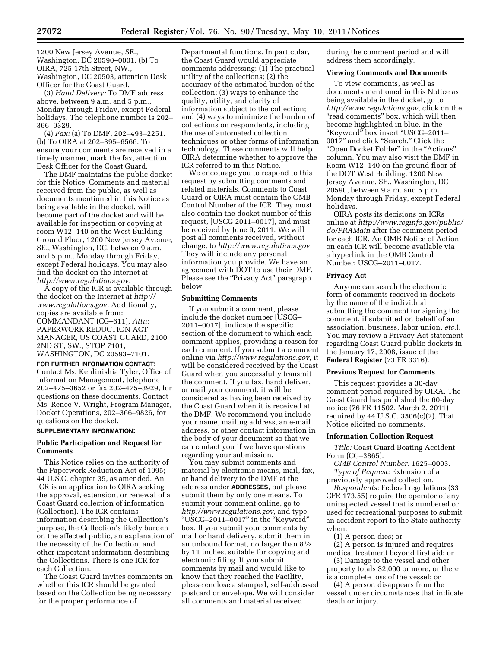1200 New Jersey Avenue, SE., Washington, DC 20590–0001. (b) To OIRA, 725 17th Street, NW., Washington, DC 20503, attention Desk Officer for the Coast Guard.

(3) *Hand Delivery:* To DMF address above, between 9 a.m. and 5 p.m., Monday through Friday, except Federal holidays. The telephone number is 202– 366–9329.

(4) *Fax:* (a) To DMF, 202–493–2251. (b) To OIRA at 202–395–6566. To ensure your comments are received in a timely manner, mark the fax, attention Desk Officer for the Coast Guard.

The DMF maintains the public docket for this Notice. Comments and material received from the public, as well as documents mentioned in this Notice as being available in the docket, will become part of the docket and will be available for inspection or copying at room W12–140 on the West Building Ground Floor, 1200 New Jersey Avenue, SE., Washington, DC, between 9 a.m. and 5 p.m., Monday through Friday, except Federal holidays. You may also find the docket on the Internet at *[http://www.regulations.gov.](http://www.regulations.gov)* 

A copy of the ICR is available through the docket on the Internet at *[http://](http://www.regulations.gov) [www.regulations.gov.](http://www.regulations.gov)* Additionally, copies are available from: COMMANDANT (CG–611), *Attn:*  PAPERWORK REDUCTION ACT MANAGER, US COAST GUARD, 2100 2ND ST, SW., STOP 7101, WASHINGTON, DC 20593–7101.

**FOR FURTHER INFORMATION CONTACT:**  Contact Ms. Kenlinishia Tyler, Office of Information Management, telephone 202–475–3652 or fax 202–475–3929, for questions on these documents. Contact Ms. Renee V. Wright, Program Manager, Docket Operations, 202–366–9826, for questions on the docket.

#### **SUPPLEMENTARY INFORMATION:**

# **Public Participation and Request for Comments**

This Notice relies on the authority of the Paperwork Reduction Act of 1995; 44 U.S.C. chapter 35, as amended. An ICR is an application to OIRA seeking the approval, extension, or renewal of a Coast Guard collection of information (Collection). The ICR contains information describing the Collection's purpose, the Collection's likely burden on the affected public, an explanation of the necessity of the Collection, and other important information describing the Collections. There is one ICR for each Collection.

The Coast Guard invites comments on whether this ICR should be granted based on the Collection being necessary for the proper performance of

Departmental functions. In particular, the Coast Guard would appreciate comments addressing: (1) The practical utility of the collections; (2) the accuracy of the estimated burden of the collection; (3) ways to enhance the quality, utility, and clarity of information subject to the collection; and (4) ways to minimize the burden of collections on respondents, including the use of automated collection techniques or other forms of information technology. These comments will help OIRA determine whether to approve the ICR referred to in this Notice.

We encourage you to respond to this request by submitting comments and related materials. Comments to Coast Guard or OIRA must contain the OMB Control Number of the ICR. They must also contain the docket number of this request, [USCG 2011–0017], and must be received by June 9, 2011. We will post all comments received, without change, to *[http://www.regulations.gov.](http://www.regulations.gov)*  They will include any personal information you provide. We have an agreement with DOT to use their DMF. Please see the "Privacy Act" paragraph below.

#### **Submitting Comments**

If you submit a comment, please include the docket number [USCG– 2011–0017], indicate the specific section of the document to which each comment applies, providing a reason for each comment. If you submit a comment online via *[http://www.regulations.gov,](http://www.regulations.gov)* it will be considered received by the Coast Guard when you successfully transmit the comment. If you fax, hand deliver, or mail your comment, it will be considered as having been received by the Coast Guard when it is received at the DMF. We recommend you include your name, mailing address, an e-mail address, or other contact information in the body of your document so that we can contact you if we have questions regarding your submission.

You may submit comments and material by electronic means, mail, fax, or hand delivery to the DMF at the address under **ADDRESSES**, but please submit them by only one means. To submit your comment online, go to *[http://www.regulations.gov,](http://www.regulations.gov)* and type ''USCG–2011–0017'' in the ''Keyword'' box. If you submit your comments by mail or hand delivery, submit them in an unbound format, no larger than 81⁄2 by 11 inches, suitable for copying and electronic filing. If you submit comments by mail and would like to know that they reached the Facility, please enclose a stamped, self-addressed postcard or envelope. We will consider all comments and material received

during the comment period and will address them accordingly.

### **Viewing Comments and Documents**

To view comments, as well as documents mentioned in this Notice as being available in the docket, go to *[http://www.regulations.gov,](http://www.regulations.gov)* click on the "read comments" box, which will then become highlighted in blue. In the ''Keyword'' box insert ''USCG–2011– 0017'' and click ''Search.'' Click the ''Open Docket Folder'' in the ''Actions'' column. You may also visit the DMF in Room W12–140 on the ground floor of the DOT West Building, 1200 New Jersey Avenue, SE., Washington, DC 20590, between 9 a.m. and 5 p.m., Monday through Friday, except Federal holidays.

OIRA posts its decisions on ICRs online at *[http://www.reginfo.gov/public/](http://www.reginfo.gov/public/do/PRAMain) [do/PRAMain](http://www.reginfo.gov/public/do/PRAMain)* after the comment period for each ICR. An OMB Notice of Action on each ICR will become available via a hyperlink in the OMB Control Number: USCG–2011–0017.

#### **Privacy Act**

Anyone can search the electronic form of comments received in dockets by the name of the individual submitting the comment (or signing the comment, if submitted on behalf of an association, business, labor union, *etc.*). You may review a Privacy Act statement regarding Coast Guard public dockets in the January 17, 2008, issue of the **Federal Register** (73 FR 3316).

### **Previous Request for Comments**

This request provides a 30-day comment period required by OIRA. The Coast Guard has published the 60-day notice (76 FR 11502, March 2, 2011) required by 44 U.S.C.  $3506(c)(2)$ . That Notice elicited no comments.

#### **Information Collection Request**

*Title:* Coast Guard Boating Accident Form (CG–3865).

*OMB Control Number:* 1625–0003. *Type of Request:* Extension of a previously approved collection.

*Respondents:* Federal regulations (33 CFR 173.55) require the operator of any uninspected vessel that is numbered or used for recreational purposes to submit an accident report to the State authority when:

(1) A person dies; or

(2) A person is injured and requires medical treatment beyond first aid; or

(3) Damage to the vessel and other property totals \$2,000 or more, or there is a complete loss of the vessel; or

(4) A person disappears from the vessel under circumstances that indicate death or injury.